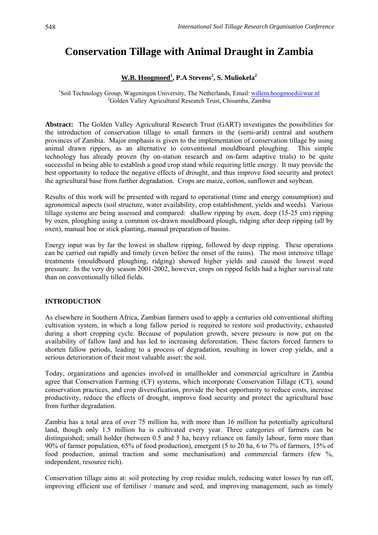# **Conservation Tillage with Animal Draught in Zambia**

# $\overline{\textbf{W}}$ .B. Hoogmoed<sup>1</sup>, P.A Stevens<sup>2</sup>, S. Muliokela<sup>2</sup>

<sup>1</sup>Soil Technology Group, Wageningen University, The Netherlands, Email: <u>willem.hoogmoed@wur.nl</u>  $\frac{2 \text{Golden Value}}{2 \text{ Golden Value}}$ <sup>2</sup>Golden Valley Agricultural Research Trust, Chisamba, Zambia

**Abstract:** The Golden Valley Agricultural Research Trust (GART) investigates the possibilities for the introduction of conservation tillage to small farmers in the (semi-arid) central and southern provinces of Zambia. Major emphasis is given to the implementation of conservation tillage by using animal drawn rippers, as an alternative to conventional mouldboard ploughing. This simple technology has already proven (by on-station research and on-farm adaptive trials) to be quite successful in being able to establish a good crop stand while requiring little energy. It may provide the best opportunity to reduce the negative effects of drought, and thus improve food security and protect the agricultural base from further degradation. Crops are maize, cotton, sunflower and soybean.

Results of this work will be presented with regard to operational (time and energy consumption) and agronomical aspects (soil structure, water availability, crop establishment, yields and weeds). Various tillage systems are being assessed and compared: shallow ripping by oxen, deep (15-25 cm) ripping by oxen, ploughing using a common ox-drawn mouldboard plough, ridging after deep ripping (all by oxen), manual hoe or stick planting, manual preparation of basins.

Energy input was by far the lowest in shallow ripping, followed by deep ripping. These operations can be carried out rapidly and timely (even before the onset of the rains). The most intensive tillage treatments (mouldboard ploughing, ridging) showed higher yields and caused the lowest weed pressure. In the very dry season 2001-2002, however, crops on ripped fields had a higher survival rate than on conventionally tilled fields.

## **INTRODUCTION**

As elsewhere in Southern Africa, Zambian farmers used to apply a centuries old conventional shifting cultivation system, in which a long fallow period is required to restore soil productivity, exhausted during a short cropping cycle. Because of population growth, severe pressure is now put on the availability of fallow land and has led to increasing deforestation. These factors forced farmers to shorten fallow periods, leading to a process of degradation, resulting in lower crop yields, and a serious deterioration of their most valuable asset: the soil.

Today, organizations and agencies involved in smallholder and commercial agriculture in Zambia agree that Conservation Farming (CF) systems, which incorporate Conservation Tillage (CT), sound conservation practices, and crop diversification, provide the best opportunity to reduce costs, increase productivity, reduce the effects of drought, improve food security and protect the agricultural base from further degradation.

Zambia has a total area of over 75 million ha, with more than 16 million ha potentially agricultural land, though only 1.5 million ha is cultivated every year. Three categories of farmers can be distinguished; small holder (between 0.5 and 5 ha, heavy reliance on family labour, form more than 90% of farmer population, 65% of food production), emergent (5 to 20 ha, 6 to 7% of farmers, 15% of food production, animal traction and some mechanisation) and commercial farmers (few %, independent, resource rich).

Conservation tillage aims at: soil protecting by crop residue mulch, reducing water losses by run off, improving efficient use of fertiliser / manure and seed, and improving management, such as timely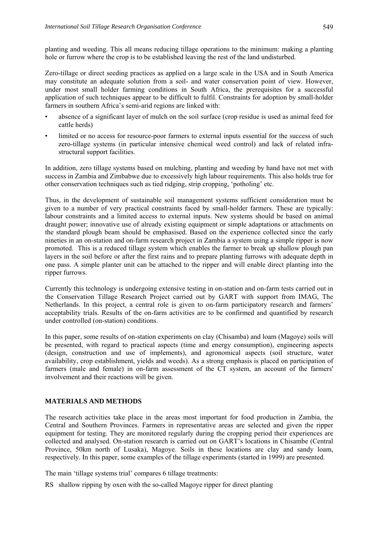planting and weeding. This all means reducing tillage operations to the minimum: making a planting hole or furrow where the crop is to be established leaving the rest of the land undisturbed.

Zero-tillage or direct seeding practices as applied on a large scale in the USA and in South America may constitute an adequate solution from a soil- and water conservation point of view. However, under most small holder farming conditions in South Africa, the prerequisites for a successful application of such techniques appear to be difficult to fulfil. Constraints for adoption by small-holder farmers in southern Africa's semi-arid regions are linked with:

- absence of a significant layer of mulch on the soil surface (crop residue is used as animal feed for cattle herds)
- limited or no access for resource-poor farmers to external inputs essential for the success of such zero-tillage systems (in particular intensive chemical weed control) and lack of related infrastructural support facilities.

In addition, zero tillage systems based on mulching, planting and weeding by hand have not met with success in Zambia and Zimbabwe due to excessively high labour requirements. This also holds true for other conservation techniques such as tied ridging, strip cropping, ëpotholingí etc.

Thus, in the development of sustainable soil management systems sufficient consideration must be given to a number of very practical constraints faced by small-holder farmers. These are typically: labour constraints and a limited access to external inputs. New systems should be based on animal draught power; innovative use of already existing equipment or simple adaptations or attachments on the standard plough beam should be emphasised. Based on the experience collected since the early nineties in an on-station and on-farm research project in Zambia a system using a simple ripper is now promoted. This is a reduced tillage system which enables the farmer to break up shallow plough pan layers in the soil before or after the first rains and to prepare planting furrows with adequate depth in one pass. A simple planter unit can be attached to the ripper and will enable direct planting into the ripper furrows.

Currently this technology is undergoing extensive testing in on-station and on-farm tests carried out in the Conservation Tillage Research Project carried out by GART with support from IMAG, The Netherlands. In this project, a central role is given to on-farm participatory research and farmers' acceptability trials. Results of the on-farm activities are to be confirmed and quantified by research under controlled (on-station) conditions.

In this paper, some results of on-station experiments on clay (Chisamba) and loam (Magoye) soils will be presented, with regard to practical aspects (time and energy consumption), engineering aspects (design, construction and use of implements), and agronomical aspects (soil structure, water availability, crop establishment, yields and weeds). As a strong emphasis is placed on participation of farmers (male and female) in on-farm assessment of the CT system, an account of the farmers' involvement and their reactions will be given.

### **MATERIALS AND METHODS**

The research activities take place in the areas most important for food production in Zambia, the Central and Southern Provinces. Farmers in representative areas are selected and given the ripper equipment for testing. They are monitored regularly during the cropping period their experiences are collected and analysed. On-station research is carried out on GART's locations in Chisambe (Central Province, 50km north of Lusaka), Magoye. Soils in these locations are clay and sandy loam, respectively. In this paper, some examples of the tillage experiments (started in 1999) are presented.

The main 'tillage systems trial' compares 6 tillage treatments:

RS shallow ripping by oxen with the so-called Magoye ripper for direct planting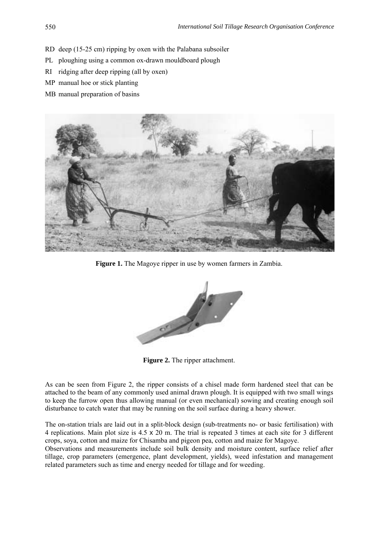- RD deep (15-25 cm) ripping by oxen with the Palabana subsoiler
- PL ploughing using a common ox-drawn mouldboard plough
- RI ridging after deep ripping (all by oxen)
- MP manual hoe or stick planting
- MB manual preparation of basins



**Figure 1.** The Magoye ripper in use by women farmers in Zambia.



**Figure 2.** The ripper attachment.

As can be seen from Figure 2, the ripper consists of a chisel made form hardened steel that can be attached to the beam of any commonly used animal drawn plough. It is equipped with two small wings to keep the furrow open thus allowing manual (or even mechanical) sowing and creating enough soil disturbance to catch water that may be running on the soil surface during a heavy shower.

The on-station trials are laid out in a split-block design (sub-treatments no- or basic fertilisation) with 4 replications. Main plot size is 4.5 x 20 m. The trial is repeated 3 times at each site for 3 different crops, soya, cotton and maize for Chisamba and pigeon pea, cotton and maize for Magoye.

Observations and measurements include soil bulk density and moisture content, surface relief after tillage, crop parameters (emergence, plant development, yields), weed infestation and management related parameters such as time and energy needed for tillage and for weeding.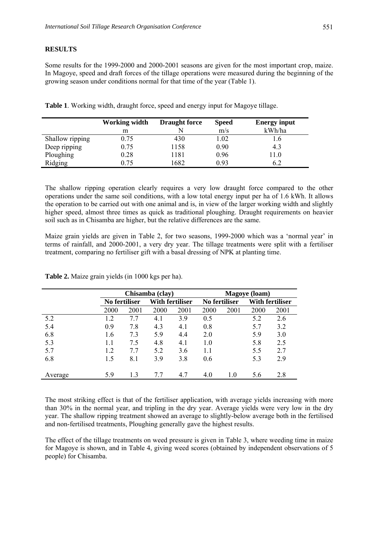### **RESULTS**

Some results for the 1999-2000 and 2000-2001 seasons are given for the most important crop, maize. In Magoye, speed and draft forces of the tillage operations were measured during the beginning of the growing season under conditions normal for that time of the year (Table 1).

|                 | <b>Working width</b> | <b>Draught force</b> | <b>Speed</b> | <b>Energy input</b> |
|-----------------|----------------------|----------------------|--------------|---------------------|
|                 | m                    |                      | m/s          | kWh/ha              |
| Shallow ripping | 0.75                 | 430                  | 1.02         | 1.b                 |
| Deep ripping    | 0.75                 | 1158                 | 0.90         | 4.3                 |
| Ploughing       | 0.28                 | 1181                 | 0.96         | 11.0                |
| Ridging         | 0.75                 | 1682                 | 0.93         | 6.2                 |

**Table 1**. Working width, draught force, speed and energy input for Magoye tillage.

The shallow ripping operation clearly requires a very low draught force compared to the other operations under the same soil conditions, with a low total energy input per ha of 1.6 kWh. It allows the operation to be carried out with one animal and is, in view of the larger working width and slightly higher speed, almost three times as quick as traditional ploughing. Draught requirements on heavier soil such as in Chisamba are higher, but the relative differences are the same.

Maize grain yields are given in Table 2, for two seasons, 1999-2000 which was a 'normal year' in terms of rainfall, and 2000-2001, a very dry year. The tillage treatments were split with a fertiliser treatment, comparing no fertiliser gift with a basal dressing of NPK at planting time.

|         | Chisamba (clay) |      |      | <b>Magoye</b> (loam)   |      |               |                        |      |
|---------|-----------------|------|------|------------------------|------|---------------|------------------------|------|
|         | No fertiliser   |      |      | <b>With fertiliser</b> |      | No fertiliser | <b>With fertiliser</b> |      |
|         | 2000            | 2001 | 2000 | 2001                   | 2000 | 2001          | 2000                   | 2001 |
| 5.2     | 1.2             | 77   | 4.1  | 3.9                    | 0.5  |               | 5.2                    | 2.6  |
| 5.4     | 0.9             | 7.8  | 4.3  | 4.1                    | 0.8  |               | 5.7                    | 3.2  |
| 6.8     | 1.6             | 7.3  | 5.9  | 4.4                    | 2.0  |               | 5.9                    | 3.0  |
| 5.3     | 1.1             | 7.5  | 4.8  | 4.1                    | 1.0  |               | 5.8                    | 2.5  |
| 5.7     | 1.2             | 77   | 5.2  | 3.6                    | 1.1  |               | 5.5                    | 2.7  |
| 6.8     | 1.5             | 8.1  | 3.9  | 3.8                    | 0.6  |               | 5.3                    | 2.9  |
|         |                 |      |      |                        |      |               |                        |      |
| Average | 5.9             | 13   | 77   | 47                     | 4.0  | 1.0           | 5.6                    | 2.8  |

**Table 2.** Maize grain yields (in 1000 kgs per ha).

The most striking effect is that of the fertiliser application, with average yields increasing with more than 30% in the normal year, and tripling in the dry year. Average yields were very low in the dry year. The shallow ripping treatment showed an average to slightly-below average both in the fertilised and non-fertilised treatments, Ploughing generally gave the highest results.

The effect of the tillage treatments on weed pressure is given in Table 3, where weeding time in maize for Magoye is shown, and in Table 4, giving weed scores (obtained by independent observations of 5 people) for Chisamba.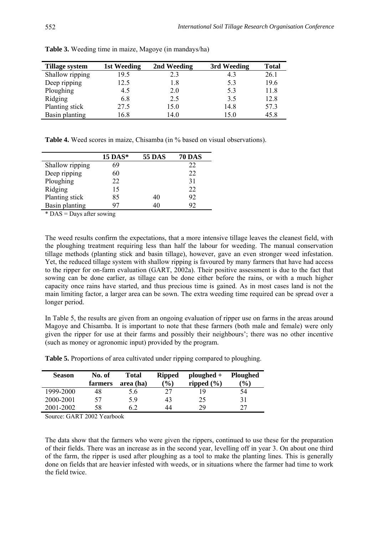| <b>Tillage system</b> | 1st Weeding | 2nd Weeding | 3rd Weeding | <b>Total</b> |
|-----------------------|-------------|-------------|-------------|--------------|
| Shallow ripping       | 19.5        | 2.3         | 4.3         | 26.1         |
| Deep ripping          | 12.5        | 1.8         | 5.3         | 19.6         |
| Ploughing             | 4.5         | 2.0         | 5.3         | 11.8         |
| Ridging               | 6.8         | 2.5         | 3.5         | 12.8         |
| Planting stick        | 27.5        | 15.0        | 14.8        | 57.3         |
| Basin planting        | 16.8        | 14.0        | 15.0        | 45.8         |

**Table 3.** Weeding time in maize, Magoye (in mandays/ha)

**Table 4.** Weed scores in maize, Chisamba (in % based on visual observations).

|                 | 15 DAS* | <b>55 DAS</b> | <b>70 DAS</b> |
|-----------------|---------|---------------|---------------|
| Shallow ripping | 69      |               | 22            |
| Deep ripping    | 60      |               | 22            |
| Ploughing       | 22      |               | 31            |
| Ridging         | 15      |               | 22            |
| Planting stick  | 85      | 40            | 92            |
| Basin planting  | 97      | 40            | 92            |

 $*$  DAS = Days after sowing

The weed results confirm the expectations, that a more intensive tillage leaves the cleanest field, with the ploughing treatment requiring less than half the labour for weeding. The manual conservation tillage methods (planting stick and basin tillage), however, gave an even stronger weed infestation. Yet, the reduced tillage system with shallow ripping is favoured by many farmers that have had access to the ripper for on-farm evaluation (GART, 2002a). Their positive assessment is due to the fact that sowing can be done earlier, as tillage can be done either before the rains, or with a much higher capacity once rains have started, and thus precious time is gained. As in most cases land is not the main limiting factor, a larger area can be sown. The extra weeding time required can be spread over a longer period.

In Table 5, the results are given from an ongoing evaluation of ripper use on farms in the areas around Magoye and Chisamba. It is important to note that these farmers (both male and female) were only given the ripper for use at their farms and possibly their neighbours'; there was no other incentive (such as money or agronomic input) provided by the program.

**Table 5.** Proportions of area cultivated under ripping compared to ploughing.

| <b>Season</b> | No. of<br>farmers | Total<br>area (ha) | <b>Ripped</b><br>$\mathcal{O}(6)$ | $ploughed +$<br>ripped $(\% )$ | <b>Ploughed</b><br>$\mathcal{O}(6)$ |
|---------------|-------------------|--------------------|-----------------------------------|--------------------------------|-------------------------------------|
| 1999-2000     | 48                | 5.6                | 27                                | l ()                           | 54                                  |
| 2000-2001     | 57                | 59                 | 43                                | 25                             | 31                                  |
| 2001-2002     | 58                | 62                 | 44                                | 29                             |                                     |

Source: GART 2002 Yearbook

The data show that the farmers who were given the rippers, continued to use these for the preparation of their fields. There was an increase as in the second year, levelling off in year 3. On about one third of the farm, the ripper is used after ploughing as a tool to make the planting lines. This is generally done on fields that are heavier infested with weeds, or in situations where the farmer had time to work the field twice.